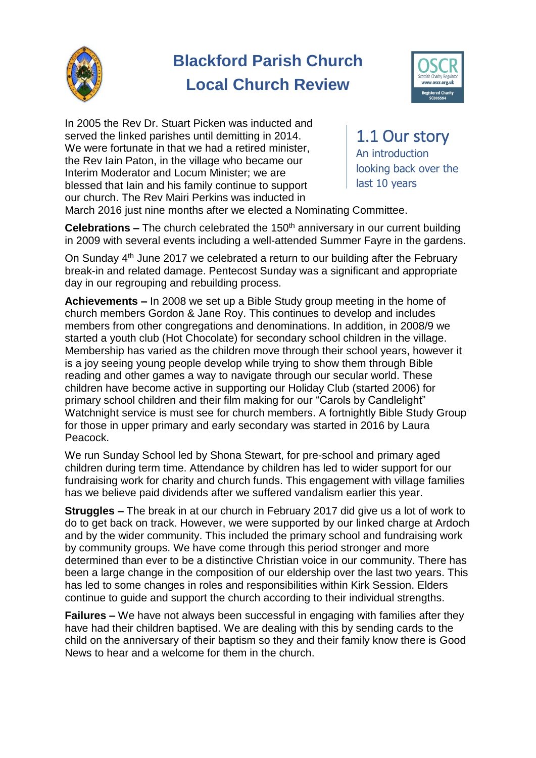

# **Blackford Parish Church Local Church Review**



In 2005 the Rev Dr. Stuart Picken was inducted and served the linked parishes until demitting in 2014. We were fortunate in that we had a retired minister, the Rev Iain Paton, in the village who became our Interim Moderator and Locum Minister; we are blessed that Iain and his family continue to support our church. The Rev Mairi Perkins was inducted in

1.1 Our story An introduction looking back over the last 10 years

March 2016 just nine months after we elected a Nominating Committee.

**Celebrations –** The church celebrated the 150<sup>th</sup> anniversary in our current building in 2009 with several events including a well-attended Summer Fayre in the gardens.

On Sunday 4<sup>th</sup> June 2017 we celebrated a return to our building after the February break-in and related damage. Pentecost Sunday was a significant and appropriate day in our regrouping and rebuilding process.

**Achievements –** In 2008 we set up a Bible Study group meeting in the home of church members Gordon & Jane Roy. This continues to develop and includes members from other congregations and denominations. In addition, in 2008/9 we started a youth club (Hot Chocolate) for secondary school children in the village. Membership has varied as the children move through their school years, however it is a joy seeing young people develop while trying to show them through Bible reading and other games a way to navigate through our secular world. These children have become active in supporting our Holiday Club (started 2006) for primary school children and their film making for our "Carols by Candlelight" Watchnight service is must see for church members. A fortnightly Bible Study Group for those in upper primary and early secondary was started in 2016 by Laura Peacock.

We run Sunday School led by Shona Stewart, for pre-school and primary aged children during term time. Attendance by children has led to wider support for our fundraising work for charity and church funds. This engagement with village families has we believe paid dividends after we suffered vandalism earlier this year.

**Struggles –** The break in at our church in February 2017 did give us a lot of work to do to get back on track. However, we were supported by our linked charge at Ardoch and by the wider community. This included the primary school and fundraising work by community groups. We have come through this period stronger and more determined than ever to be a distinctive Christian voice in our community. There has been a large change in the composition of our eldership over the last two years. This has led to some changes in roles and responsibilities within Kirk Session. Elders continue to guide and support the church according to their individual strengths.

**Failures –** We have not always been successful in engaging with families after they have had their children baptised. We are dealing with this by sending cards to the child on the anniversary of their baptism so they and their family know there is Good News to hear and a welcome for them in the church.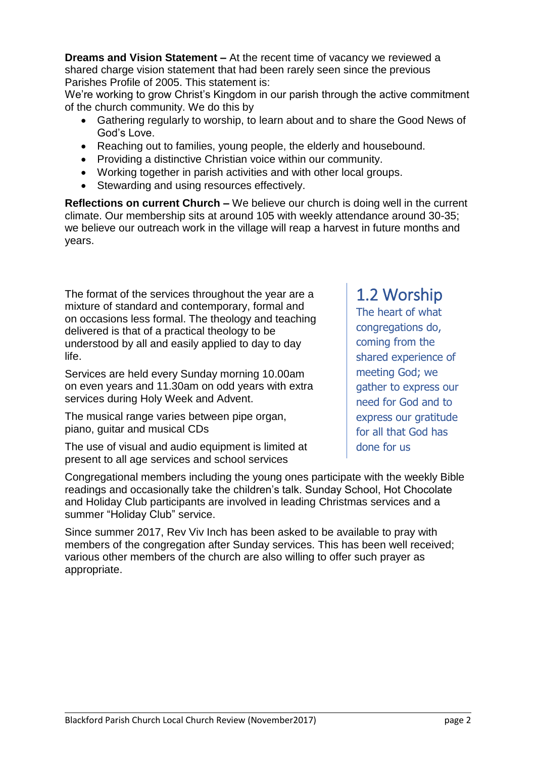**Dreams and Vision Statement –** At the recent time of vacancy we reviewed a shared charge vision statement that had been rarely seen since the previous Parishes Profile of 2005. This statement is:

We're working to grow Christ's Kingdom in our parish through the active commitment of the church community. We do this by

- Gathering regularly to worship, to learn about and to share the Good News of God's Love.
- Reaching out to families, young people, the elderly and housebound.
- Providing a distinctive Christian voice within our community.
- Working together in parish activities and with other local groups.
- Stewarding and using resources effectively.

**Reflections on current Church –** We believe our church is doing well in the current climate. Our membership sits at around 105 with weekly attendance around 30-35; we believe our outreach work in the village will reap a harvest in future months and years.

The format of the services throughout the year are a mixture of standard and contemporary, formal and on occasions less formal. The theology and teaching delivered is that of a practical theology to be understood by all and easily applied to day to day life.

Services are held every Sunday morning 10.00am on even years and 11.30am on odd years with extra services during Holy Week and Advent.

The musical range varies between pipe organ, piano, guitar and musical CDs

The use of visual and audio equipment is limited at present to all age services and school services

Congregational members including the young ones participate with the weekly Bible readings and occasionally take the children's talk. Sunday School, Hot Chocolate and Holiday Club participants are involved in leading Christmas services and a summer "Holiday Club" service.

Since summer 2017, Rev Viv Inch has been asked to be available to pray with members of the congregation after Sunday services. This has been well received; various other members of the church are also willing to offer such prayer as appropriate.

## Blackford Parish Church Local Church Review (November2017) page 2

# 1.2 Worship

The heart of what congregations do, coming from the shared experience of meeting God; we gather to express our need for God and to express our gratitude for all that God has done for us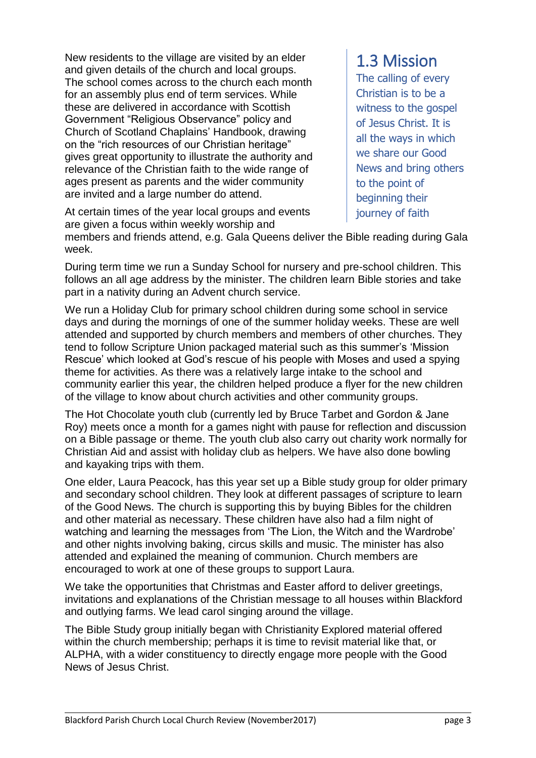New residents to the village are visited by an elder and given details of the church and local groups. The school comes across to the church each month for an assembly plus end of term services. While these are delivered in accordance with Scottish Government "Religious Observance" policy and Church of Scotland Chaplains' Handbook, drawing on the "rich resources of our Christian heritage" gives great opportunity to illustrate the authority and relevance of the Christian faith to the wide range of ages present as parents and the wider community are invited and a large number do attend.

At certain times of the year local groups and events are given a focus within weekly worship and

## 1.3 Mission

The calling of every Christian is to be a witness to the gospel of Jesus Christ. It is all the ways in which we share our Good News and bring others to the point of beginning their journey of faith

members and friends attend, e.g. Gala Queens deliver the Bible reading during Gala week.

During term time we run a Sunday School for nursery and pre-school children. This follows an all age address by the minister. The children learn Bible stories and take part in a nativity during an Advent church service.

We run a Holiday Club for primary school children during some school in service days and during the mornings of one of the summer holiday weeks. These are well attended and supported by church members and members of other churches. They tend to follow Scripture Union packaged material such as this summer's 'Mission Rescue' which looked at God's rescue of his people with Moses and used a spying theme for activities. As there was a relatively large intake to the school and community earlier this year, the children helped produce a flyer for the new children of the village to know about church activities and other community groups.

The Hot Chocolate youth club (currently led by Bruce Tarbet and Gordon & Jane Roy) meets once a month for a games night with pause for reflection and discussion on a Bible passage or theme. The youth club also carry out charity work normally for Christian Aid and assist with holiday club as helpers. We have also done bowling and kayaking trips with them.

One elder, Laura Peacock, has this year set up a Bible study group for older primary and secondary school children. They look at different passages of scripture to learn of the Good News. The church is supporting this by buying Bibles for the children and other material as necessary. These children have also had a film night of watching and learning the messages from 'The Lion, the Witch and the Wardrobe' and other nights involving baking, circus skills and music. The minister has also attended and explained the meaning of communion. Church members are encouraged to work at one of these groups to support Laura.

We take the opportunities that Christmas and Easter afford to deliver greetings, invitations and explanations of the Christian message to all houses within Blackford and outlying farms. We lead carol singing around the village.

The Bible Study group initially began with Christianity Explored material offered within the church membership; perhaps it is time to revisit material like that, or ALPHA, with a wider constituency to directly engage more people with the Good News of Jesus Christ.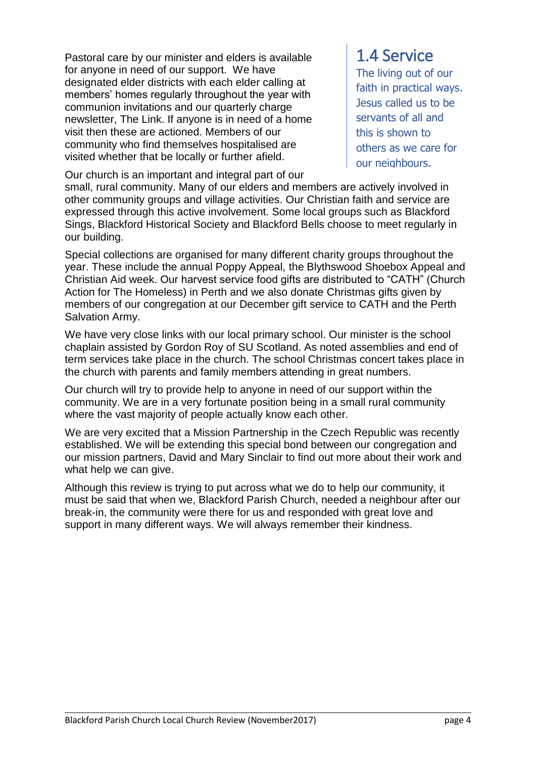Pastoral care by our minister and elders is available for anyone in need of our support. We have designated elder districts with each elder calling at members' homes regularly throughout the year with communion invitations and our quarterly charge newsletter, The Link. If anyone is in need of a home visit then these are actioned. Members of our community who find themselves hospitalised are visited whether that be locally or further afield.

Our church is an important and integral part of our

## 1.4 Service

The living out of our faith in practical ways. Jesus called us to be servants of all and this is shown to others as we care for our neighbours.

small, rural community. Many of our elders and members are actively involved in other community groups and village activities. Our Christian faith and service are expressed through this active involvement. Some local groups such as Blackford Sings, Blackford Historical Society and Blackford Bells choose to meet regularly in our building.

Special collections are organised for many different charity groups throughout the year. These include the annual Poppy Appeal, the Blythswood Shoebox Appeal and Christian Aid week. Our harvest service food gifts are distributed to "CATH" (Church Action for The Homeless) in Perth and we also donate Christmas gifts given by members of our congregation at our December gift service to CATH and the Perth Salvation Army.

We have very close links with our local primary school. Our minister is the school chaplain assisted by Gordon Roy of SU Scotland. As noted assemblies and end of term services take place in the church. The school Christmas concert takes place in the church with parents and family members attending in great numbers.

Our church will try to provide help to anyone in need of our support within the community. We are in a very fortunate position being in a small rural community where the vast majority of people actually know each other.

We are very excited that a Mission Partnership in the Czech Republic was recently established. We will be extending this special bond between our congregation and our mission partners, David and Mary Sinclair to find out more about their work and what help we can give.

Although this review is trying to put across what we do to help our community, it must be said that when we, Blackford Parish Church, needed a neighbour after our break-in, the community were there for us and responded with great love and support in many different ways. We will always remember their kindness.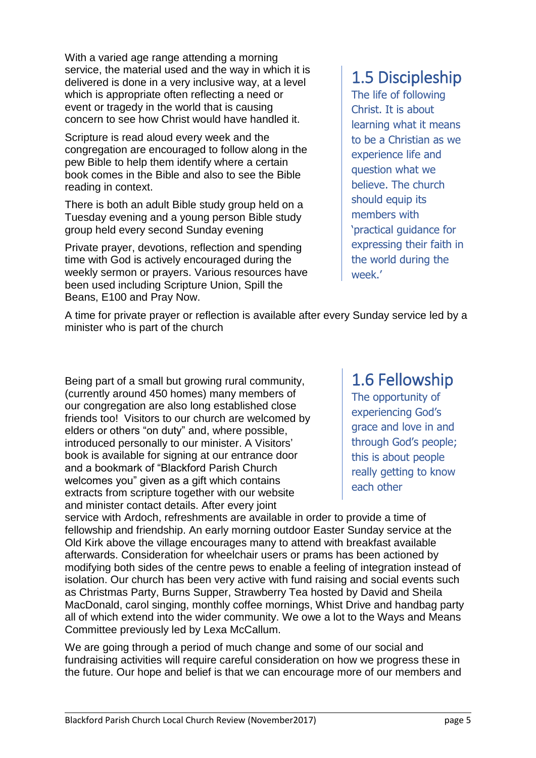With a varied age range attending a morning service, the material used and the way in which it is delivered is done in a very inclusive way, at a level which is appropriate often reflecting a need or event or tragedy in the world that is causing concern to see how Christ would have handled it.

Scripture is read aloud every week and the congregation are encouraged to follow along in the pew Bible to help them identify where a certain book comes in the Bible and also to see the Bible reading in context.

There is both an adult Bible study group held on a Tuesday evening and a young person Bible study group held every second Sunday evening

Private prayer, devotions, reflection and spending time with God is actively encouraged during the weekly sermon or prayers. Various resources have been used including Scripture Union, Spill the Beans, E100 and Pray Now.

## 1.5 Discipleship

The life of following Christ. It is about learning what it means to be a Christian as we experience life and question what we believe. The church should equip its members with 'practical guidance for expressing their faith in the world during the week.'

A time for private prayer or reflection is available after every Sunday service led by a minister who is part of the church

Being part of a small but growing rural community, (currently around 450 homes) many members of our congregation are also long established close friends too! Visitors to our church are welcomed by elders or others "on duty" and, where possible, introduced personally to our minister. A Visitors' book is available for signing at our entrance door and a bookmark of "Blackford Parish Church welcomes you" given as a gift which contains extracts from scripture together with our website and minister contact details. After every joint

## 1.6 Fellowship

The opportunity of experiencing God's grace and love in and through God's people; this is about people really getting to know each other

service with Ardoch, refreshments are available in order to provide a time of fellowship and friendship. An early morning outdoor Easter Sunday service at the Old Kirk above the village encourages many to attend with breakfast available afterwards. Consideration for wheelchair users or prams has been actioned by modifying both sides of the centre pews to enable a feeling of integration instead of isolation. Our church has been very active with fund raising and social events such as Christmas Party, Burns Supper, Strawberry Tea hosted by David and Sheila MacDonald, carol singing, monthly coffee mornings, Whist Drive and handbag party all of which extend into the wider community. We owe a lot to the Ways and Means Committee previously led by Lexa McCallum.

We are going through a period of much change and some of our social and fundraising activities will require careful consideration on how we progress these in the future. Our hope and belief is that we can encourage more of our members and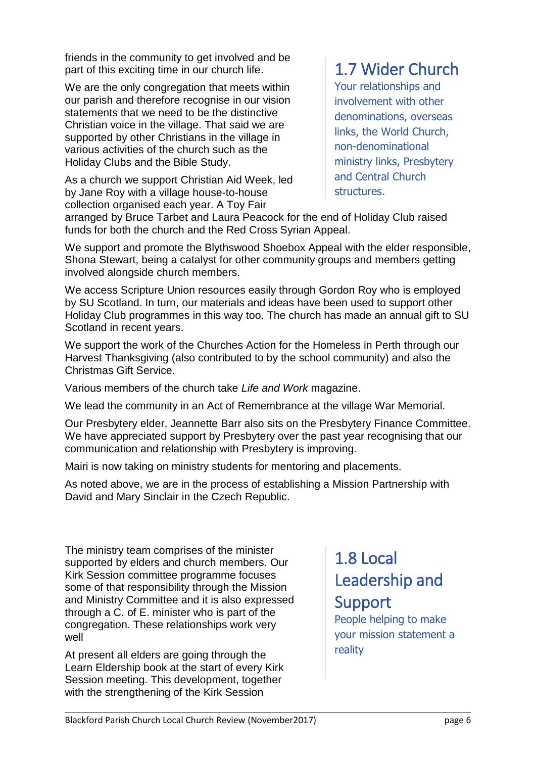friends in the community to get involved and be part of this exciting time in our church life.

We are the only congregation that meets within our parish and therefore recognise in our vision statements that we need to be the distinctive Christian voice in the village. That said we are supported by other Christians in the village in various activities of the church such as the Holiday Clubs and the Bible Study.

As a church we support Christian Aid Week, led by Jane Roy with a village house-to-house collection organised each year. A Toy Fair

# 1.7 Wider Church

Your relationships and involvement with other denominations, overseas links, the World Church, non-denominational ministry links, Presbytery and Central Church structures.

arranged by Bruce Tarbet and Laura Peacock for the end of Holiday Club raised funds for both the church and the Red Cross Syrian Appeal.

We support and promote the Blythswood Shoebox Appeal with the elder responsible, Shona Stewart, being a catalyst for other community groups and members getting involved alongside church members.

We access Scripture Union resources easily through Gordon Roy who is employed by SU Scotland. In turn, our materials and ideas have been used to support other Holiday Club programmes in this way too. The church has made an annual gift to SU Scotland in recent years.

We support the work of the Churches Action for the Homeless in Perth through our Harvest Thanksgiving (also contributed to by the school community) and also the Christmas Gift Service.

Various members of the church take *Life and Work* magazine.

We lead the community in an Act of Remembrance at the village War Memorial.

Our Presbytery elder, Jeannette Barr also sits on the Presbytery Finance Committee. We have appreciated support by Presbytery over the past year recognising that our communication and relationship with Presbytery is improving.

Mairi is now taking on ministry students for mentoring and placements.

As noted above, we are in the process of establishing a Mission Partnership with David and Mary Sinclair in the Czech Republic.

The ministry team comprises of the minister supported by elders and church members. Our Kirk Session committee programme focuses some of that responsibility through the Mission and Ministry Committee and it is also expressed through a C. of E. minister who is part of the congregation. These relationships work very well

At present all elders are going through the Learn Eldership book at the start of every Kirk Session meeting. This development, together with the strengthening of the Kirk Session

# 1.8 Local Leadership and Support

People helping to make your mission statement a reality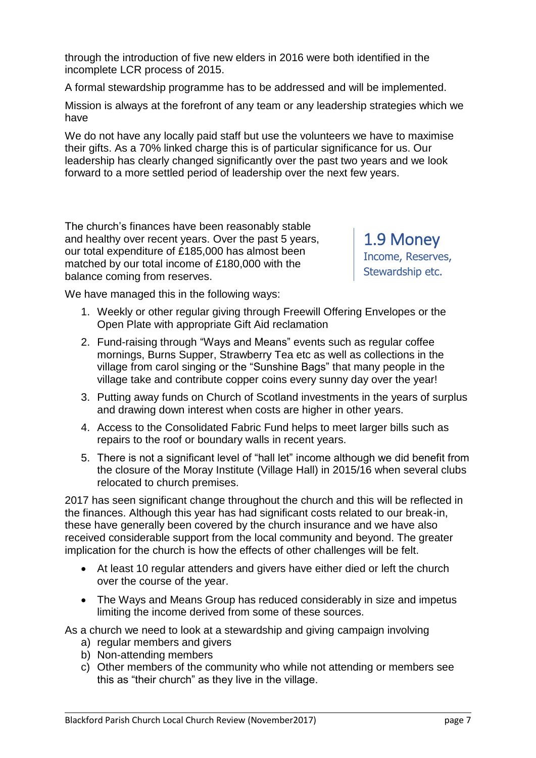through the introduction of five new elders in 2016 were both identified in the incomplete LCR process of 2015.

A formal stewardship programme has to be addressed and will be implemented.

Mission is always at the forefront of any team or any leadership strategies which we have

We do not have any locally paid staff but use the volunteers we have to maximise their gifts. As a 70% linked charge this is of particular significance for us. Our leadership has clearly changed significantly over the past two years and we look forward to a more settled period of leadership over the next few years.

The church's finances have been reasonably stable and healthy over recent years. Over the past 5 years, our total expenditure of £185,000 has almost been matched by our total income of £180,000 with the balance coming from reserves.

1.9 Money Income, Reserves, Stewardship etc.

We have managed this in the following ways:

- 1. Weekly or other regular giving through Freewill Offering Envelopes or the Open Plate with appropriate Gift Aid reclamation
- 2. Fund-raising through "Ways and Means" events such as regular coffee mornings, Burns Supper, Strawberry Tea etc as well as collections in the village from carol singing or the "Sunshine Bags" that many people in the village take and contribute copper coins every sunny day over the year!
- 3. Putting away funds on Church of Scotland investments in the years of surplus and drawing down interest when costs are higher in other years.
- 4. Access to the Consolidated Fabric Fund helps to meet larger bills such as repairs to the roof or boundary walls in recent years.
- 5. There is not a significant level of "hall let" income although we did benefit from the closure of the Moray Institute (Village Hall) in 2015/16 when several clubs relocated to church premises.

2017 has seen significant change throughout the church and this will be reflected in the finances. Although this year has had significant costs related to our break-in, these have generally been covered by the church insurance and we have also received considerable support from the local community and beyond. The greater implication for the church is how the effects of other challenges will be felt.

- At least 10 regular attenders and givers have either died or left the church over the course of the year.
- The Ways and Means Group has reduced considerably in size and impetus limiting the income derived from some of these sources.

As a church we need to look at a stewardship and giving campaign involving

- a) regular members and givers
- b) Non-attending members
- c) Other members of the community who while not attending or members see this as "their church" as they live in the village.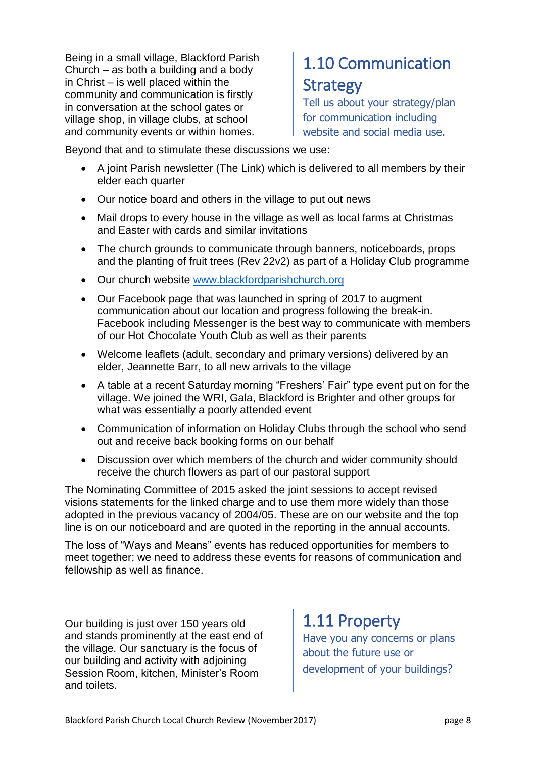Being in a small village, Blackford Parish Church – as both a building and a body in Christ – is well placed within the community and communication is firstly in conversation at the school gates or village shop, in village clubs, at school and community events or within homes.

# 1.10 Communication **Strategy**

Tell us about your strategy/plan for communication including website and social media use.

Beyond that and to stimulate these discussions we use:

- A joint Parish newsletter (The Link) which is delivered to all members by their elder each quarter
- Our notice board and others in the village to put out news
- Mail drops to every house in the village as well as local farms at Christmas and Easter with cards and similar invitations
- The church grounds to communicate through banners, noticeboards, props and the planting of fruit trees (Rev 22v2) as part of a Holiday Club programme
- Our church website [www.blackfordparishchurch.org](http://www.blackfordparishchurch.org/)
- Our Facebook page that was launched in spring of 2017 to augment communication about our location and progress following the break-in. Facebook including Messenger is the best way to communicate with members of our Hot Chocolate Youth Club as well as their parents
- Welcome leaflets (adult, secondary and primary versions) delivered by an elder, Jeannette Barr, to all new arrivals to the village
- A table at a recent Saturday morning "Freshers' Fair" type event put on for the village. We joined the WRI, Gala, Blackford is Brighter and other groups for what was essentially a poorly attended event
- Communication of information on Holiday Clubs through the school who send out and receive back booking forms on our behalf
- Discussion over which members of the church and wider community should receive the church flowers as part of our pastoral support

The Nominating Committee of 2015 asked the joint sessions to accept revised visions statements for the linked charge and to use them more widely than those adopted in the previous vacancy of 2004/05. These are on our website and the top line is on our noticeboard and are quoted in the reporting in the annual accounts.

The loss of "Ways and Means" events has reduced opportunities for members to meet together; we need to address these events for reasons of communication and fellowship as well as finance.

Our building is just over 150 years old and stands prominently at the east end of the village. Our sanctuary is the focus of our building and activity with adjoining Session Room, kitchen, Minister's Room and toilets.

1.11 Property Have you any concerns or plans

about the future use or development of your buildings?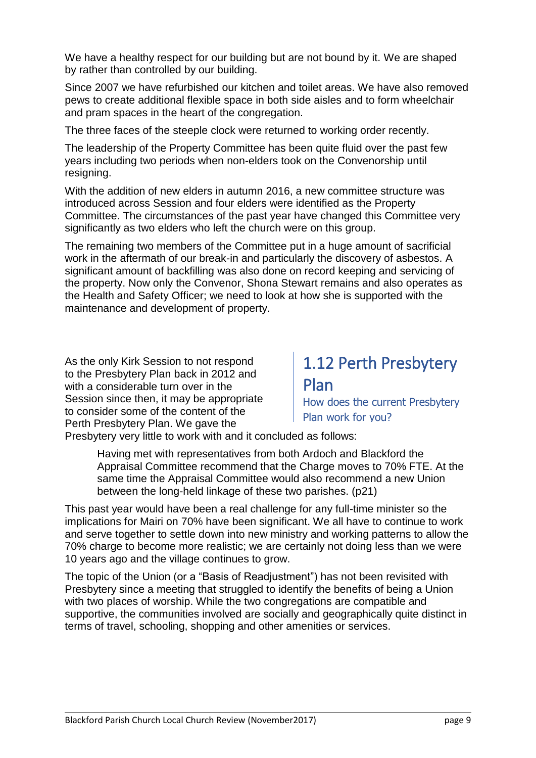We have a healthy respect for our building but are not bound by it. We are shaped by rather than controlled by our building.

Since 2007 we have refurbished our kitchen and toilet areas. We have also removed pews to create additional flexible space in both side aisles and to form wheelchair and pram spaces in the heart of the congregation.

The three faces of the steeple clock were returned to working order recently.

The leadership of the Property Committee has been quite fluid over the past few years including two periods when non-elders took on the Convenorship until resigning.

With the addition of new elders in autumn 2016, a new committee structure was introduced across Session and four elders were identified as the Property Committee. The circumstances of the past year have changed this Committee very significantly as two elders who left the church were on this group.

The remaining two members of the Committee put in a huge amount of sacrificial work in the aftermath of our break-in and particularly the discovery of asbestos. A significant amount of backfilling was also done on record keeping and servicing of the property. Now only the Convenor, Shona Stewart remains and also operates as the Health and Safety Officer; we need to look at how she is supported with the maintenance and development of property.

As the only Kirk Session to not respond to the Presbytery Plan back in 2012 and with a considerable turn over in the Session since then, it may be appropriate to consider some of the content of the Perth Presbytery Plan. We gave the

## 1.12 Perth Presbytery Plan How does the current Presbytery

Plan work for you?

Presbytery very little to work with and it concluded as follows:

Having met with representatives from both Ardoch and Blackford the Appraisal Committee recommend that the Charge moves to 70% FTE. At the same time the Appraisal Committee would also recommend a new Union between the long-held linkage of these two parishes. (p21)

This past year would have been a real challenge for any full-time minister so the implications for Mairi on 70% have been significant. We all have to continue to work and serve together to settle down into new ministry and working patterns to allow the 70% charge to become more realistic; we are certainly not doing less than we were 10 years ago and the village continues to grow.

The topic of the Union (or a "Basis of Readjustment") has not been revisited with Presbytery since a meeting that struggled to identify the benefits of being a Union with two places of worship. While the two congregations are compatible and supportive, the communities involved are socially and geographically quite distinct in terms of travel, schooling, shopping and other amenities or services.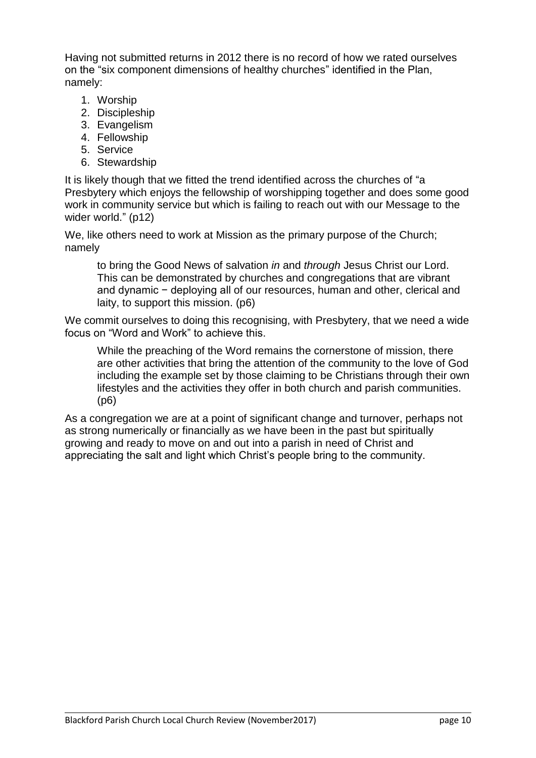Having not submitted returns in 2012 there is no record of how we rated ourselves on the "six component dimensions of healthy churches" identified in the Plan, namely:

- 1. Worship
- 2. Discipleship
- 3. Evangelism
- 4. Fellowship
- 5. Service
- 6. Stewardship

It is likely though that we fitted the trend identified across the churches of "a Presbytery which enjoys the fellowship of worshipping together and does some good work in community service but which is failing to reach out with our Message to the wider world." (p12)

We, like others need to work at Mission as the primary purpose of the Church; namely

to bring the Good News of salvation *in* and *through* Jesus Christ our Lord. This can be demonstrated by churches and congregations that are vibrant and dynamic − deploying all of our resources, human and other, clerical and laity, to support this mission. (p6)

We commit ourselves to doing this recognising, with Presbytery, that we need a wide focus on "Word and Work" to achieve this.

While the preaching of the Word remains the cornerstone of mission, there are other activities that bring the attention of the community to the love of God including the example set by those claiming to be Christians through their own lifestyles and the activities they offer in both church and parish communities. (p6)

As a congregation we are at a point of significant change and turnover, perhaps not as strong numerically or financially as we have been in the past but spiritually growing and ready to move on and out into a parish in need of Christ and appreciating the salt and light which Christ's people bring to the community.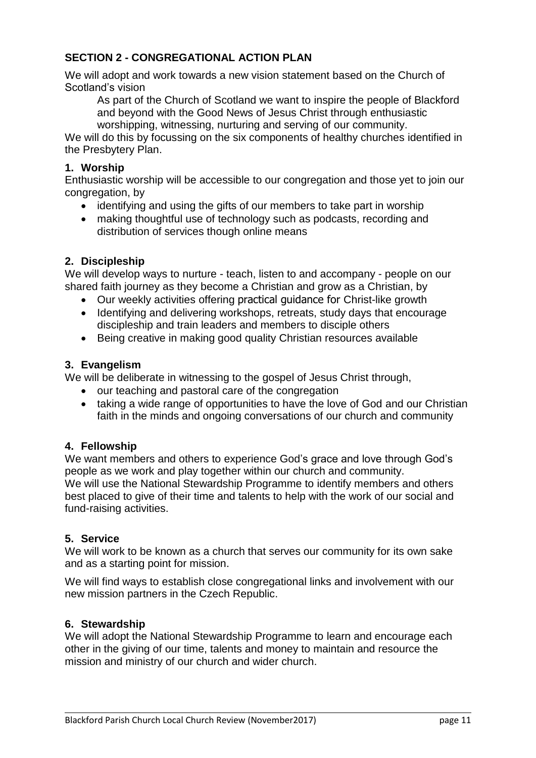## **SECTION 2 - CONGREGATIONAL ACTION PLAN**

We will adopt and work towards a new vision statement based on the Church of Scotland's vision

As part of the Church of Scotland we want to inspire the people of Blackford and beyond with the Good News of Jesus Christ through enthusiastic worshipping, witnessing, nurturing and serving of our community.

We will do this by focussing on the six components of healthy churches identified in the Presbytery Plan.

### **1. Worship**

Enthusiastic worship will be accessible to our congregation and those yet to join our congregation, by

- identifying and using the gifts of our members to take part in worship
- making thoughtful use of technology such as podcasts, recording and distribution of services though online means

### **2. Discipleship**

We will develop ways to nurture - teach, listen to and accompany - people on our shared faith journey as they become a Christian and grow as a Christian, by

- Our weekly activities offering practical guidance for Christ-like growth
- Identifying and delivering workshops, retreats, study days that encourage discipleship and train leaders and members to disciple others
- Being creative in making good quality Christian resources available

#### **3. Evangelism**

We will be deliberate in witnessing to the gospel of Jesus Christ through,

- our teaching and pastoral care of the congregation
- taking a wide range of opportunities to have the love of God and our Christian faith in the minds and ongoing conversations of our church and community

## **4. Fellowship**

We want members and others to experience God's grace and love through God's people as we work and play together within our church and community. We will use the National Stewardship Programme to identify members and others best placed to give of their time and talents to help with the work of our social and fund-raising activities.

#### **5. Service**

We will work to be known as a church that serves our community for its own sake and as a starting point for mission.

We will find ways to establish close congregational links and involvement with our new mission partners in the Czech Republic.

#### **6. Stewardship**

We will adopt the National Stewardship Programme to learn and encourage each other in the giving of our time, talents and money to maintain and resource the mission and ministry of our church and wider church.